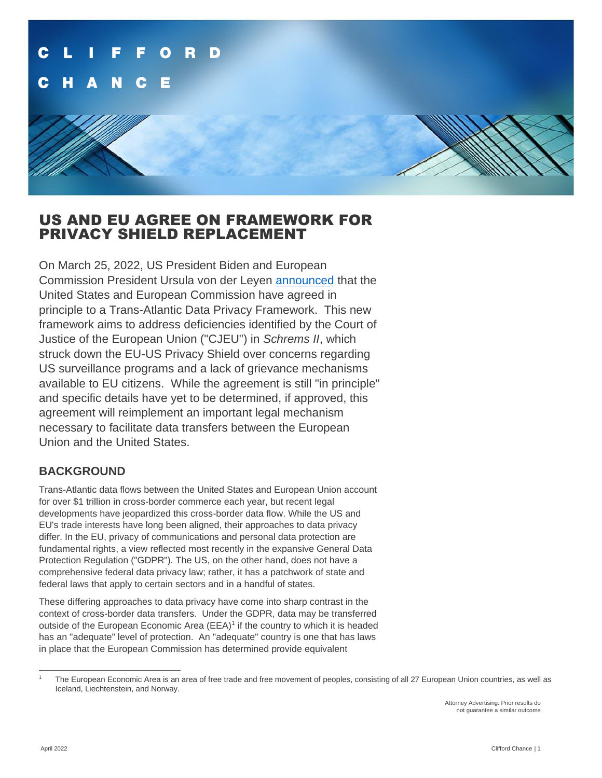# US AND EU AGREE ON FRAMEWORK FOR PRIVACY SHIELD REPLACEMENT

On March 25, 2022, US President Biden and European Commission President Ursula von der Leyen [announced](https://www.whitehouse.gov/briefing-room/speeches-remarks/2022/03/25/remarks-by-president-biden-and-european-commission-president-ursula-von-der-leyen-in-joint-press-statement/) that the United States and European Commission have agreed in principle to a Trans-Atlantic Data Privacy Framework. This new framework aims to address deficiencies identified by the Court of Justice of the European Union ("CJEU") in *Schrems II*, which struck down the EU-US Privacy Shield over concerns regarding US surveillance programs and a lack of grievance mechanisms available to EU citizens. While the agreement is still "in principle" and specific details have yet to be determined, if approved, this agreement will reimplement an important legal mechanism necessary to facilitate data transfers between the European Union and the United States.

## **BACKGROUND**

Trans-Atlantic data flows between the United States and European Union account for over \$1 trillion in cross-border commerce each year, but recent legal developments have jeopardized this cross-border data flow. While the US and EU's trade interests have long been aligned, their approaches to data privacy differ. In the EU, privacy of communications and personal data protection are fundamental rights, a view reflected most recently in the expansive General Data Protection Regulation ("GDPR"). The US, on the other hand, does not have a comprehensive federal data privacy law; rather, it has a patchwork of state and federal laws that apply to certain sectors and in a handful of states.

These differing approaches to data privacy have come into sharp contrast in the context of cross-border data transfers. Under the GDPR, data may be transferred outside of the European Economic Area  $(EEA)^1$  if the country to which it is headed has an "adequate" level of protection. An "adequate" country is one that has laws in place that the European Commission has determined provide equivalent

The European Economic Area is an area of free trade and free movement of peoples, consisting of all 27 European Union countries, as well as Iceland, Liechtenstein, and Norway.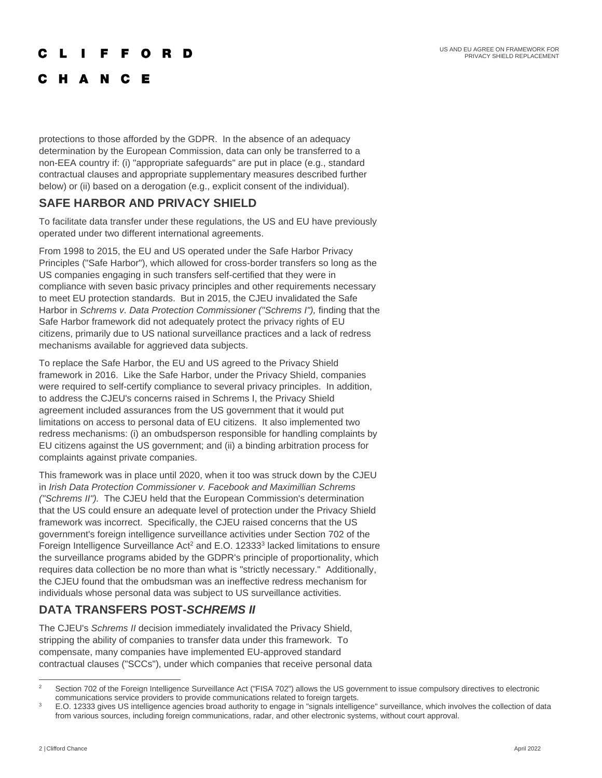US AND EU AGREE ON FRAMEWORK FOR PRIVACY SHIELD REPLACEMENT

## **CLIFFORD**

## C H A N C E

protections to those afforded by the GDPR. In the absence of an adequacy determination by the European Commission, data can only be transferred to a non-EEA country if: (i) "appropriate safeguards" are put in place (e.g., standard contractual clauses and appropriate supplementary measures described further below) or (ii) based on a derogation (e.g., explicit consent of the individual).

## **SAFE HARBOR AND PRIVACY SHIELD**

To facilitate data transfer under these regulations, the US and EU have previously operated under two different international agreements.

From 1998 to 2015, the EU and US operated under the Safe Harbor Privacy Principles ("Safe Harbor"), which allowed for cross-border transfers so long as the US companies engaging in such transfers self-certified that they were in compliance with seven basic privacy principles and other requirements necessary to meet EU protection standards. But in 2015, the CJEU invalidated the Safe Harbor in *Schrems v. Data Protection Commissioner ("Schrems I"),* finding that the Safe Harbor framework did not adequately protect the privacy rights of EU citizens, primarily due to US national surveillance practices and a lack of redress mechanisms available for aggrieved data subjects.

To replace the Safe Harbor, the EU and US agreed to the Privacy Shield framework in 2016. Like the Safe Harbor, under the Privacy Shield, companies were required to self-certify compliance to several privacy principles. In addition, to address the CJEU's concerns raised in Schrems I, the Privacy Shield agreement included assurances from the US government that it would put limitations on access to personal data of EU citizens. It also implemented two redress mechanisms: (i) an ombudsperson responsible for handling complaints by EU citizens against the US government; and (ii) a binding arbitration process for complaints against private companies.

This framework was in place until 2020, when it too was struck down by the CJEU in *Irish Data Protection Commissioner v. Facebook and Maximillian Schrems ("Schrems II").* The CJEU held that the European Commission's determination that the US could ensure an adequate level of protection under the Privacy Shield framework was incorrect. Specifically, the CJEU raised concerns that the US government's foreign intelligence surveillance activities under Section 702 of the Foreign Intelligence Surveillance Act<sup>2</sup> and E.O. 12333 $3$  lacked limitations to ensure the surveillance programs abided by the GDPR's principle of proportionality, which requires data collection be no more than what is "strictly necessary." Additionally, the CJEU found that the ombudsman was an ineffective redress mechanism for individuals whose personal data was subject to US surveillance activities.

## **DATA TRANSFERS POST-***SCHREMS II*

The CJEU's *Schrems II* decision immediately invalidated the Privacy Shield, stripping the ability of companies to transfer data under this framework. To compensate, many companies have implemented EU-approved standard contractual clauses ("SCCs"), under which companies that receive personal data

<sup>&</sup>lt;sup>2</sup> Section 702 of the Foreign Intelligence Surveillance Act ("FISA 702") allows the US government to issue compulsory directives to electronic communications service providers to provide communications related to foreign targets.

<sup>&</sup>lt;sup>3</sup> E.O. 12333 gives US intelligence agencies broad authority to engage in "signals intelligence" surveillance, which involves the collection of data from various sources, including foreign communications, radar, and other electronic systems, without court approval.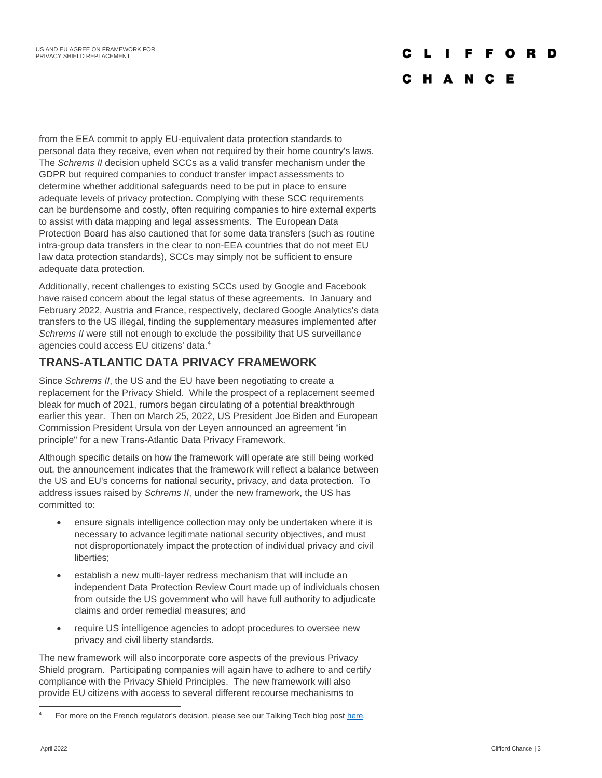#### C L I F F O

## C H A N C E

from the EEA commit to apply EU-equivalent data protection standards to personal data they receive, even when not required by their home country's laws. The *Schrems II* decision upheld SCCs as a valid transfer mechanism under the GDPR but required companies to conduct transfer impact assessments to determine whether additional safeguards need to be put in place to ensure adequate levels of privacy protection. Complying with these SCC requirements can be burdensome and costly, often requiring companies to hire external experts to assist with data mapping and legal assessments. The European Data Protection Board has also cautioned that for some data transfers (such as routine intra-group data transfers in the clear to non-EEA countries that do not meet EU law data protection standards), SCCs may simply not be sufficient to ensure adequate data protection.

Additionally, recent challenges to existing SCCs used by Google and Facebook have raised concern about the legal status of these agreements. In January and February 2022, Austria and France, respectively, declared Google Analytics's data transfers to the US illegal, finding the supplementary measures implemented after *Schrems II* were still not enough to exclude the possibility that US surveillance agencies could access EU citizens' data.<sup>4</sup>

## **TRANS-ATLANTIC DATA PRIVACY FRAMEWORK**

Since *Schrems II*, the US and the EU have been negotiating to create a replacement for the Privacy Shield. While the prospect of a replacement seemed bleak for much of 2021, rumors began circulating of a potential breakthrough earlier this year. Then on March 25, 2022, US President Joe Biden and European Commission President Ursula von der Leyen announced an agreement "in principle" for a new Trans-Atlantic Data Privacy Framework.

Although specific details on how the framework will operate are still being worked out, the announcement indicates that the framework will reflect a balance between the US and EU's concerns for national security, privacy, and data protection. To address issues raised by *Schrems II*, under the new framework, the US has committed to:

- ensure signals intelligence collection may only be undertaken where it is necessary to advance legitimate national security objectives, and must not disproportionately impact the protection of individual privacy and civil liberties;
- establish a new multi-layer redress mechanism that will include an independent Data Protection Review Court made up of individuals chosen from outside the US government who will have full authority to adjudicate claims and order remedial measures; and
- require US intelligence agencies to adopt procedures to oversee new privacy and civil liberty standards.

The new framework will also incorporate core aspects of the previous Privacy Shield program. Participating companies will again have to adhere to and certify compliance with the Privacy Shield Principles. The new framework will also provide EU citizens with access to several different recourse mechanisms to

For more on the French regulator's decision, please see our Talking Tech blog post [here.](https://www.cliffordchance.com/insights/resources/hubs-and-toolkits/talking-tech/en/articles/2022/02/google-analytics-declared-illegal-in-france-.html#:~:text=On%2010%20February%202022%2C%20the,of%20the%20European%20Union%20(CJEU))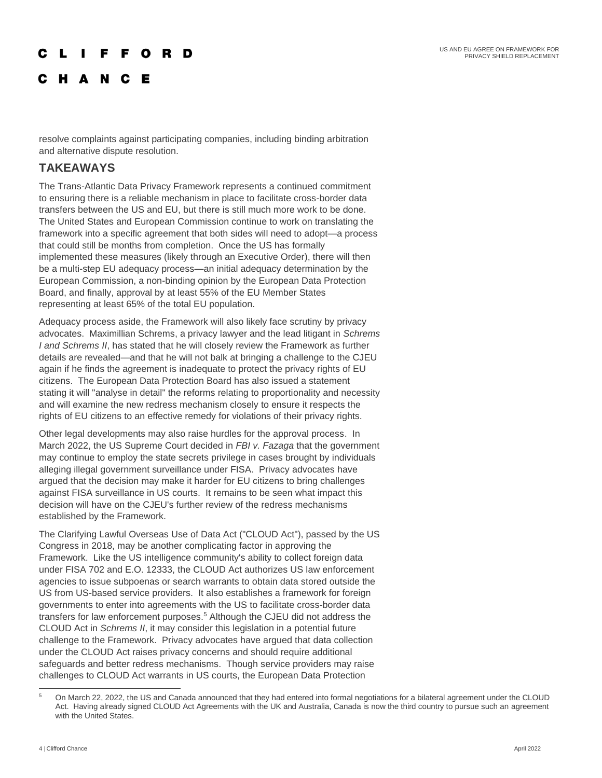# L I F F O R D

C H A N C E

resolve complaints against participating companies, including binding arbitration and alternative dispute resolution.

## **TAKEAWAYS**

The Trans-Atlantic Data Privacy Framework represents a continued commitment to ensuring there is a reliable mechanism in place to facilitate cross-border data transfers between the US and EU, but there is still much more work to be done. The United States and European Commission continue to work on translating the framework into a specific agreement that both sides will need to adopt—a process that could still be months from completion. Once the US has formally implemented these measures (likely through an Executive Order), there will then be a multi-step EU adequacy process—an initial adequacy determination by the European Commission, a non-binding opinion by the European Data Protection Board, and finally, approval by at least 55% of the EU Member States representing at least 65% of the total EU population.

Adequacy process aside, the Framework will also likely face scrutiny by privacy advocates. Maximillian Schrems, a privacy lawyer and the lead litigant in *Schrems I and Schrems II*, has stated that he will closely review the Framework as further details are revealed—and that he will not balk at bringing a challenge to the CJEU again if he finds the agreement is inadequate to protect the privacy rights of EU citizens. The European Data Protection Board has also issued a statement stating it will "analyse in detail" the reforms relating to proportionality and necessity and will examine the new redress mechanism closely to ensure it respects the rights of EU citizens to an effective remedy for violations of their privacy rights.

Other legal developments may also raise hurdles for the approval process. In March 2022, the US Supreme Court decided in *FBI v. Fazaga* that the government may continue to employ the state secrets privilege in cases brought by individuals alleging illegal government surveillance under FISA. Privacy advocates have argued that the decision may make it harder for EU citizens to bring challenges against FISA surveillance in US courts. It remains to be seen what impact this decision will have on the CJEU's further review of the redress mechanisms established by the Framework.

The Clarifying Lawful Overseas Use of Data Act ("CLOUD Act"), passed by the US Congress in 2018, may be another complicating factor in approving the Framework. Like the US intelligence community's ability to collect foreign data under FISA 702 and E.O. 12333, the CLOUD Act authorizes US law enforcement agencies to issue subpoenas or search warrants to obtain data stored outside the US from US-based service providers. It also establishes a framework for foreign governments to enter into agreements with the US to facilitate cross-border data transfers for law enforcement purposes.<sup>5</sup> Although the CJEU did not address the CLOUD Act in *Schrems II*, it may consider this legislation in a potential future challenge to the Framework. Privacy advocates have argued that data collection under the CLOUD Act raises privacy concerns and should require additional safeguards and better redress mechanisms. Though service providers may raise challenges to CLOUD Act warrants in US courts, the European Data Protection

<sup>&</sup>lt;sup>5</sup> On March 22, 2022, the US and Canada announced that they had entered into formal negotiations for a bilateral agreement under the CLOUD Act. Having already signed CLOUD Act Agreements with the UK and Australia, Canada is now the third country to pursue such an agreement with the United States.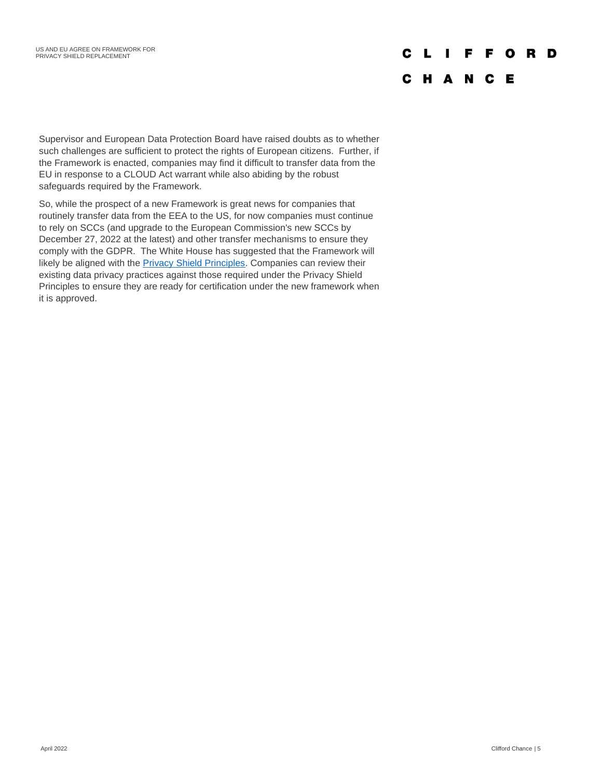# **CLIFFORD**

## **CHANCE**

Supervisor and European Data Protection Board have raised doubts as to whether such challenges are sufficient to protect the rights of European citizens. Further, if the Framework is enacted, companies may find it difficult to transfer data from the EU in response to a CLOUD Act warrant while also abiding by the robust safeguards required by the Framework.

So, while the prospect of a new Framework is great news for companies that routinely transfer data from the EEA to the US, for now companies must continue to rely on SCCs (and upgrade to the European Commission's new SCCs by December 27, 2022 at the latest) and other transfer mechanisms to ensure they comply with the GDPR. The White House has suggested that the Framework will likely be aligned with the **Privacy Shield Principles**. Companies can review their existing data privacy practices against those required under the Privacy Shield Principles to ensure they are ready for certification under the new framework when it is approved.